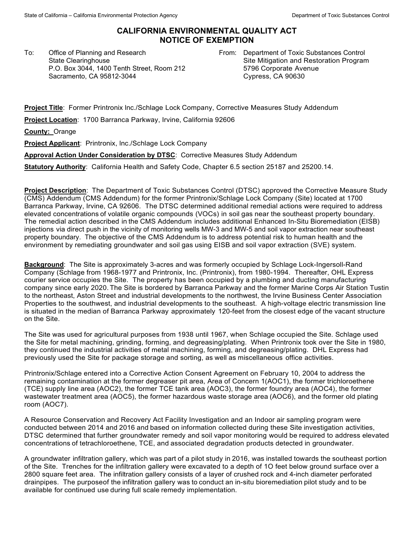## **CALIFORNIA ENVIRONMENTAL QUALITY ACT NOTICE OF EXEMPTION**

To: Office of Planning and Research State Clearinghouse P.O. Box 3044, 1400 Tenth Street, Room 212 Sacramento, CA 95812-3044

From: Department of Toxic Substances Control Site Mitigation and Restoration Program 5796 Corporate Avenue Cypress, CA 90630

**Project Title**: Former Printronix lnc./Schlage Lock Company, Corrective Measures Study Addendum

**Project Location**: 1700 Barranca Parkway, Irvine, California 92606

**County:** Orange

**Project Applicant**: Printronix, lnc./Schlage Lock Company

**Approval Action Under Consideration by DTSC**: Corrective Measures Study Addendum

**Statutory Authority**: California Health and Safety Code, Chapter 6.5 section 25187 and 25200.14.

**Project Description**: The Department of Toxic Substances Control (DTSC) approved the Corrective Measure Study (CMS) Addendum (CMS Addendum) for the former Printronix/Schlage Lock Company (Site) located at 1700 Barranca Parkway, Irvine, CA 92606. The DTSC determined additional remedial actions were required to address elevated concentrations of volatile organic compounds (VOCs) in soil gas near the southeast property boundary. The remedial action described in the CMS Addendum includes additional Enhanced In-Situ Bioremediation (EISB) injections via direct push in the vicinity of monitoring wells MW-3 and MW-5 and soil vapor extraction near southeast property boundary. The objective of the CMS Addendum is to address potential risk to human health and the environment by remediating groundwater and soil gas using EISB and soil vapor extraction (SVE) system.

**Background**: The Site is approximately 3-acres and was formerly occupied by Schlage Lock-Ingersoll-Rand Company (Schlage from 1968-1977 and Printronix, Inc. (Printronix), from 1980-1994. Thereafter, OHL Express courier service occupies the Site. The property has been occupied by a plumbing and ducting manufacturing company since early 2020. The Site is bordered by Barranca Parkway and the former Marine Corps Air Station Tustin to the northeast, Aston Street and industrial developments to the northwest, the Irvine Business Center Association Properties to the southwest, and industrial developments to the southeast. A high-voltage electric transmission line is situated in the median of Barranca Parkway approximately 120-feet from the closest edge of the vacant structure on the Site.

The Site was used for agricultural purposes from 1938 until 1967, when Schlage occupied the Site. Schlage used the Site for metal machining, grinding, forming, and degreasing/plating. When Printronix took over the Site in 1980, they continued the industrial activities of metal machining, forming, and degreasing/plating. DHL Express had previously used the Site for package storage and sorting, as well as miscellaneous office activities.

Printronix/Schlage entered into a Corrective Action Consent Agreement on February 10, 2004 to address the remaining contamination at the former degreaser pit area, Area of Concern 1(AOC1), the former trichloroethene (TCE) supply line area (AOC2), the former TCE tank area (AOC3), the former foundry area (AOC4), the former wastewater treatment area (AOC5), the former hazardous waste storage area (AOC6), and the former old plating room (AOC7).

A Resource Conservation and Recovery Act Facility Investigation and an Indoor air sampling program were conducted between 2014 and 2016 and based on information collected during these Site investigation activities, DTSC determined that further groundwater remedy and soil vapor monitoring would be required to address elevated concentrations of tetrachloroethene, TCE, and associated degradation products detected in groundwater.

A groundwater infiltration gallery, which was part of a pilot study in 2016, was installed towards the southeast portion of the Site. Trenches for the infiltration gallery were excavated to a depth of 1O feet below ground surface over a 2800 square feet area. The infiltration gallery consists of a layer of crushed rock and 4-inch diameter perforated drainpipes. The purposeof the infiltration gallery was to conduct an in-situ bioremediation pilot study and to be available for continued use during full scale remedy implementation.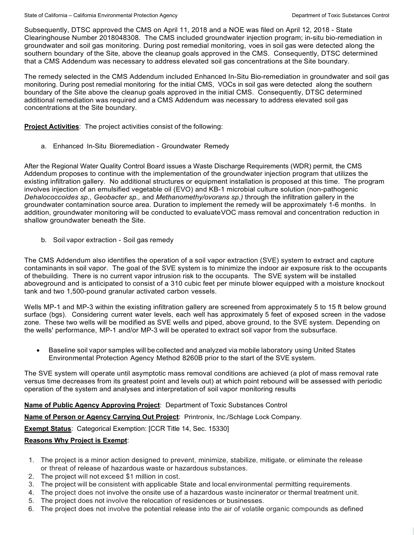Subsequently, DTSC approved the CMS on April 11, 2018 and a NOE was filed on April 12, 2018 - State Clearinghouse Number 2018048308. The CMS included groundwater injection program; in-situ bio-remediation in groundwater and soil gas monitoring. During post remedial monitoring, voes in soil gas were detected along the southern boundary of the Site, above the cleanup goals approved in the CMS. Consequently, DTSC determined that a CMS Addendum was necessary to address elevated soil gas concentrations at the Site boundary.

The remedy selected in the CMS Addendum included Enhanced In-Situ Bio-remediation in groundwater and soil gas monitoring. During post remedial monitoring for the initial CMS, VOCs in soil gas were detected along the southern boundary of the Site above the cleanup goals approved in the initial CMS. Consequently, DTSC determined additional remediation was required and a CMS Addendum was necessary to address elevated soil gas concentrations at the Site boundary.

**Project Activities**: The project activities consist of the following:

a. Enhanced In-Situ Bioremediation - Groundwater Remedy

After the Regional Water Quality Control Board issues a Waste Discharge Requirements (WDR) permit, the CMS Addendum proposes to continue with the implementation of the groundwater injection program that utilizes the existing infiltration gallery. No additional structures or equipment installation is proposed at this time. The program involves injection of an emulsified vegetable oil (EVO) and KB-1 microbial culture solution (non-pathogenic *Dehalococcoides sp., Geobacter sp.,* and *Methanomethy/ovorans sp.)* through the infiltration gallery in the groundwater contamination source area. Duration to implement the remedy will be approximately 1-6 months. In addition, groundwater monitoring will be conducted to evaluateVOC mass removal and concentration reduction in shallow groundwater beneath the Site.

b. Soil vapor extraction - Soil gas remedy

The CMS Addendum also identifies the operation of a soil vapor extraction (SVE) system to extract and capture contaminants in soil vapor. The goal of the SVE system is to minimize the indoor air exposure risk to the occupants of thebuilding. There is no current vapor intrusion risk to the occupants. The SVE system will be installed aboveground and is anticipated to consist of a 310 cubic feet per minute blower equipped with a moisture knockout tank and two 1,500-pound granular activated carbon vessels.

Wells MP-1 and MP-3 within the existing infiltration gallery are screened from approximately 5 to 15 ft below ground surface (bgs). Considering current water levels, each well has approximately 5 feet of exposed screen in the vadose zone. These two wells will be modified as SVE wells and piped, above ground, to the SVE system. Depending on the wells' performance, MP-1 and/or MP-3 will be operated to extract soil vapor from the subsurface.

• Baseline soil vapor samples will be collected and analyzed via mobile laboratory using United States Environmental Protection Agency Method 8260B prior to the start of the SVE system.

The SVE system will operate until asymptotic mass removal conditions are achieved (a plot of mass removal rate versus time decreases from its greatest point and levels out) at which point rebound will be assessed with periodic operation of the system and analyses and interpretation of soil vapor monitoring results

**Name of Public Agency Approving Project**: Department of Toxic Substances Control

**Name of Person or Agency Carrying Out Project**: Printronix, lnc./Schlage Lock Company.

**Exempt Status**: Categorical Exemption: [CCR Title 14, Sec. 15330]

## **Reasons Why Project is Exempt**:

- 1. The project is a minor action designed to prevent, minimize, stabilize, mitigate, or eliminate the release or threat of release of hazardous waste or hazardous substances.
- 2. The project will not exceed \$1 million in cost.
- 3. The project will be consistent with applicable State and local environmental permitting requirements.
- 4. The project does not involve the onsite use of a hazardous waste incinerator or thermal treatment unit.
- 5. The project does not involve the relocation of residences or businesses.
- 6. The project does not involve the potential release into the air of volatile organic compounds as defined